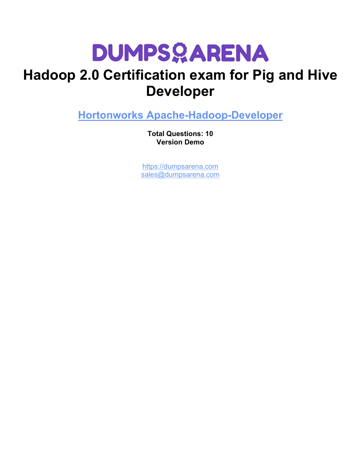## **Hadoop 2.0 Certification exam for Pig and Hive Developer**

**[Hortonworks Apache-Hadoop-Developer](https://dumpsarena.com/exam/apache-hadoop-developer/)**

**Total Questions: 10 Version Demo**

[https://dumpsarena.com](https://dumpsarena.com/) [sales@dumpsarena.com](mailto:sales@dumpsarena.com)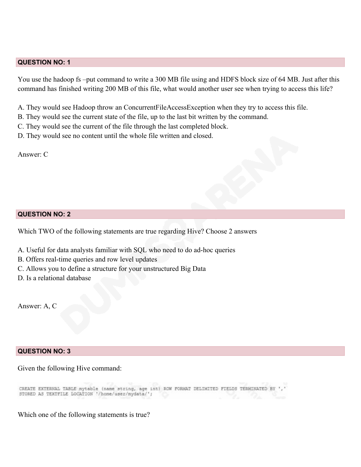#### **QUESTION NO: 1**

You use the hadoop fs –put command to write a 300 MB file using and HDFS block size of 64 MB. Just after this command has finished writing 200 MB of this file, what would another user see when trying to access this life?

- A. They would see Hadoop throw an ConcurrentFileAccessException when they try to access this file.
- B. They would see the current state of the file, up to the last bit written by the command.
- C. They would see the current of the file through the last completed block.
- D. They would see no content until the whole file written and closed.

Answer: C

#### **QUESTION NO: 2**

Which TWO of the following statements are true regarding Hive? Choose 2 answers

- A. Useful for data analysts familiar with SQL who need to do ad-hoc queries
- B. Offers real-time queries and row level updates
- C. Allows you to define a structure for your unstructured Big Data
- D. Is a relational database

Answer: A, C

#### **QUESTION NO: 3**

#### Given the following Hive command:

CREATE EXTERNAL TABLE mytable (name string, age int) ROW FORMAT DELIMITED FIELDS TERMINATED BY ', STORED AS TEXTFILE LOCATION '/home/user/mydata/';

Which one of the following statements is true?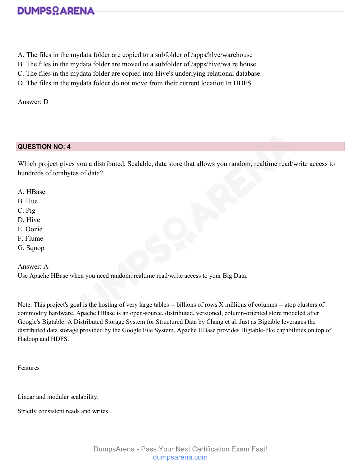- A. The files in the mydata folder are copied to a subfolder of /apps/hlve/warehouse
- B. The files in the mydata folder are moved to a subfolder of /apps/hive/wa re house
- C. The files in the mydata folder are copied into Hive's underlying relational database
- D. The files in the mydata folder do not move from their current location In HDFS

Answer: D

### **QUESTION NO: 4**

Which project gives you a distributed, Scalable, data store that allows you random, realtime read/write access to hundreds of terabytes of data?

- A. HBase
- B. Hue
- C. Pig
- D. Hive
- E. Oozie
- F. Flume
- G. Sqoop

Answer: A

Use Apache HBase when you need random, realtime read/write access to your Big Data.

Note: This project's goal is the hosting of very large tables -- billions of rows X millions of columns -- atop clusters of commodity hardware. Apache HBase is an open-source, distributed, versioned, column-oriented store modeled after Google's Bigtable: A Distributed Storage System for Structured Data by Chang et al. Just as Bigtable leverages the distributed data storage provided by the Google File System, Apache HBase provides Bigtable-like capabilities on top of Hadoop and HDFS.

Features

Linear and modular scalability.

Strictly consistent reads and writes.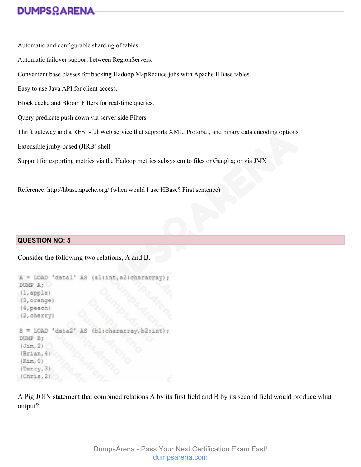Automatic and configurable sharding of tables Automatic failover support between RegionServers. Convenient base classes for backing Hadoop MapReduce jobs with Apache HBase tables. Easy to use Java API for client access. Block cache and Bloom Filters for real-time queries. Query predicate push down via server side Filters Thrift gateway and a REST-ful Web service that supports XML, Protobuf, and binary data encoding options Extensible jruby-based (JIRB) shell Support for exporting metrics via the Hadoop metrics subsystem to files or Ganglia; or via JMX

Reference: [http://hbase.apache.org/](http://hbase.apache.org/#_blank) (when would I use HBase? First sentence)

### **QUESTION NO: 5**

Consider the following two relations, A and B.

```
A = LOAD 'datal' AS (al:int, a2:chararray)
DUMP A;
(1, \text{apple})(3, \text{orange})(4, peach)
(2, cherry)
B = LOAD 'data2
                    AS
                        (bl:chararr
DUMP B;
(Jim, 2)(Brian, 4)(Kim, 0)(Terry, 3)(Chris, 2)
```
A Pig JOIN statement that combined relations A by its first field and B by its second field would produce what output?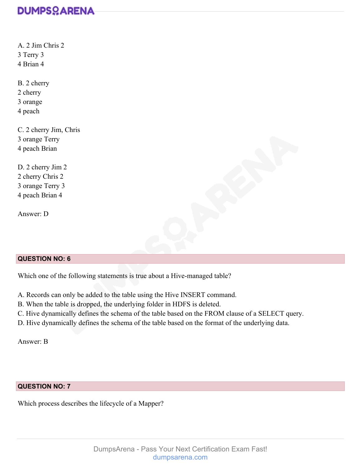A. 2 Jim Chris 2 3 Terry 3 4 Brian 4 B. 2 cherry 2 cherry 3 orange 4 peach C. 2 cherry Jim, Chris 3 orange Terry 4 peach Brian D. 2 cherry Jim 2 2 cherry Chris 2

3 orange Terry 3 4 peach Brian 4

Answer: D

### **QUESTION NO: 6**

Which one of the following statements is true about a Hive-managed table?

A. Records can only be added to the table using the Hive INSERT command.

B. When the table is dropped, the underlying folder in HDFS is deleted.

C. Hive dynamically defines the schema of the table based on the FROM clause of a SELECT query.

D. Hive dynamically defines the schema of the table based on the format of the underlying data.

Answer: B

### **QUESTION NO: 7**

Which process describes the lifecycle of a Mapper?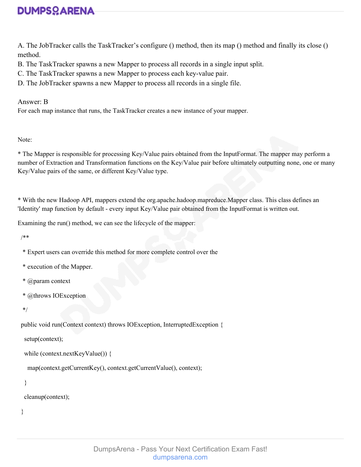A. The JobTracker calls the TaskTracker's configure () method, then its map () method and finally its close () method.

- B. The TaskTracker spawns a new Mapper to process all records in a single input split.
- C. The TaskTracker spawns a new Mapper to process each key-value pair.
- D. The JobTracker spawns a new Mapper to process all records in a single file.

Answer: B

For each map instance that runs, the TaskTracker creates a new instance of your mapper.

Note:

\* The Mapper is responsible for processing Key/Value pairs obtained from the InputFormat. The mapper may perform a number of Extraction and Transformation functions on the Key/Value pair before ultimately outputting none, one or many Key/Value pairs of the same, or different Key/Value type.

\* With the new Hadoop API, mappers extend the org.apache.hadoop.mapreduce.Mapper class. This class defines an 'Identity' map function by default - every input Key/Value pair obtained from the InputFormat is written out.

Examining the run() method, we can see the lifecycle of the mapper:

/\*\*

- \* Expert users can override this method for more complete control over the
- \* execution of the Mapper.
- \* @param context
- \* @throws IOException

\*/

public void run(Context context) throws IOException, InterruptedException {

setup(context);

```
 while (context.nextKeyValue()) {
```
map(context.getCurrentKey(), context.getCurrentValue(), context);

```
 }
```
cleanup(context);

}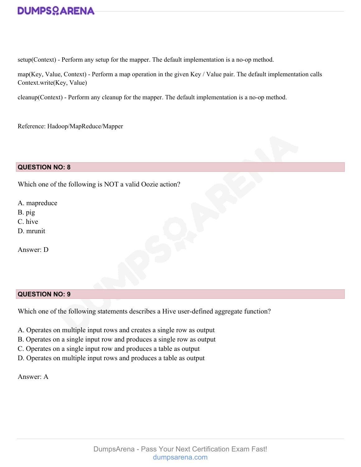setup(Context) - Perform any setup for the mapper. The default implementation is a no-op method.

map(Key, Value, Context) - Perform a map operation in the given Key / Value pair. The default implementation calls Context.write(Key, Value)

cleanup(Context) - Perform any cleanup for the mapper. The default implementation is a no-op method.

Reference: Hadoop/MapReduce/Mapper

#### **QUESTION NO: 8**

Which one of the following is NOT a valid Oozie action?

A. mapreduce

B. pig

C. hive

D. mrunit

Answer: D

#### **QUESTION NO: 9**

Which one of the following statements describes a Hive user-defined aggregate function?

- A. Operates on multiple input rows and creates a single row as output
- B. Operates on a single input row and produces a single row as output
- C. Operates on a single input row and produces a table as output
- D. Operates on multiple input rows and produces a table as output

Answer: A